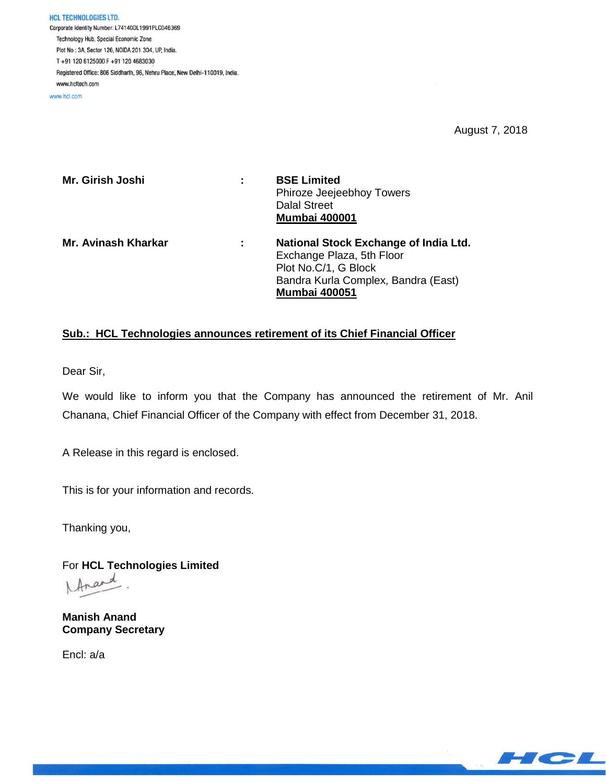**HCL TECHNOLOGIES LTD.** Corporate Identity Number: L74140DL1991PLC046369 Technology Hub, Special Economic Zone Plot No: 3A, Sector 126, NOIDA 201 304, UP, India. T+91 120 6125000 F+91 120 4683030 Registered Office: 806 Siddharth, 96, Nehru Place, New Delhi-110019, India. www.hcltech.com

www.hcl.com

August 7, 2018

| Mr. Girish Joshi    | ÷ | <b>BSE Limited</b><br>Phiroze Jeejeebhoy Towers<br><b>Dalal Street</b><br><b>Mumbai 400001</b>                                                            |
|---------------------|---|-----------------------------------------------------------------------------------------------------------------------------------------------------------|
| Mr. Avinash Kharkar | ÷ | National Stock Exchange of India Ltd.<br>Exchange Plaza, 5th Floor<br>Plot No.C/1, G Block<br>Bandra Kurla Complex, Bandra (East)<br><b>Mumbai 400051</b> |

## **Sub.: HCL Technologies announces retirement of its Chief Financial Officer**

Dear Sir,

We would like to inform you that the Company has announced the retirement of Mr. Anil Chanana, Chief Financial Officer of the Company with effect from December 31, 2018.

A Release in this regard is enclosed.

This is for your information and records.

Thanking you,

For **HCL Technologies Limited** Inard

**Manish Anand Company Secretary**

Encl: a/a